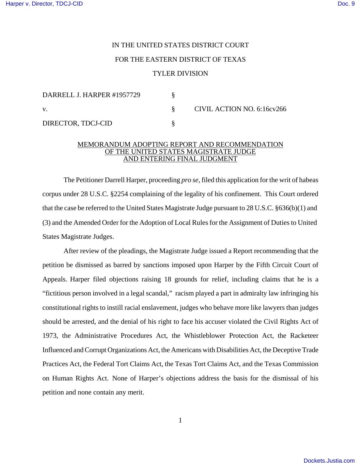## IN THE UNITED STATES DISTRICT COURT FOR THE EASTERN DISTRICT OF TEXAS TYLER DIVISION

| DARRELL J. HARPER #1957729 |  | CIVIL ACTION NO. 6:16cv266 |
|----------------------------|--|----------------------------|
| V.                         |  |                            |
| DIRECTOR, TDCJ-CID         |  |                            |

## MEMORANDUM ADOPTING REPORT AND RECOMMENDATION OF THE UNITED STATES MAGISTRATE JUDGE AND ENTERING FINAL JUDGMENT

The Petitioner Darrell Harper, proceeding *pro se*, filed this application for the writ of habeas corpus under 28 U.S.C. §2254 complaining of the legality of his confinement. This Court ordered that the case be referred to the United States Magistrate Judge pursuant to 28 U.S.C. §636(b)(1) and (3) and the Amended Order for the Adoption of Local Rules for the Assignment of Duties to United States Magistrate Judges.

After review of the pleadings, the Magistrate Judge issued a Report recommending that the petition be dismissed as barred by sanctions imposed upon Harper by the Fifth Circuit Court of Appeals. Harper filed objections raising 18 grounds for relief, including claims that he is a "fictitious person involved in a legal scandal," racism played a part in admiralty law infringing his constitutional rights to instill racial enslavement, judges who behave more like lawyers than judges should be arrested, and the denial of his right to face his accuser violated the Civil Rights Act of 1973, the Administrative Procedures Act, the Whistleblower Protection Act, the Racketeer Influenced andCorrupt Organizations Act, the Americans with Disabilities Act, the Deceptive Trade Practices Act, the Federal Tort Claims Act, the Texas Tort Claims Act, and the Texas Commission on Human Rights Act. None of Harper's objections address the basis for the dismissal of his petition and none contain any merit.